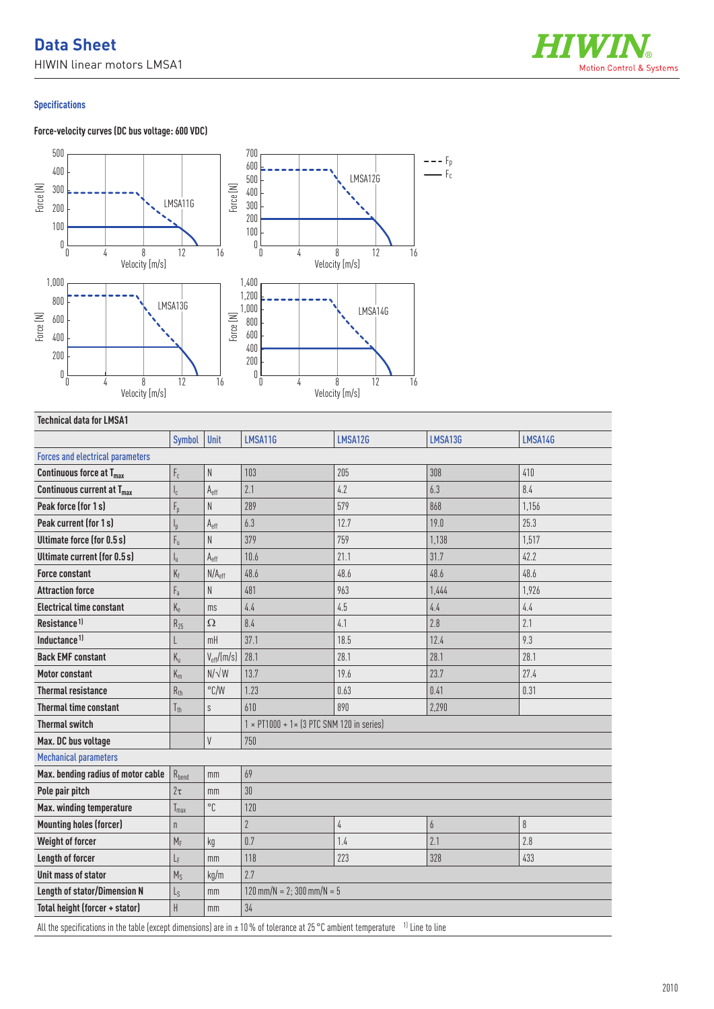# **Data Sheet**

HIWIN linear motors LMSA1



### **Specifications**

## **Force-velocity curves (DC bus voltage: 600 VDC)**



## **Technical data for LMSA1**

|                                         | Symbol                    | Unit                   | LMSA11G                                                  | LMSA12G    | LMSA13G        | LMSA14G                  |  |
|-----------------------------------------|---------------------------|------------------------|----------------------------------------------------------|------------|----------------|--------------------------|--|
| <b>Forces and electrical parameters</b> |                           |                        |                                                          |            |                |                          |  |
| Continuous force at T <sub>max</sub>    | $\mathsf{F}_{\rm c}$      | N                      | 103                                                      | 205        | 308            | 410                      |  |
| Continuous current at T <sub>max</sub>  | $\mathsf{I}_\mathsf{C}$   | $A_{\text{eff}}$       | 2.1                                                      | 4.2        | 6.3            | 8.4                      |  |
| Peak force (for 1s)                     | $F_p$                     | N                      | 289                                                      | 579        | 868            | 1,156                    |  |
| Peak current (for 1 s)                  | $I_{p}$                   | $A_{\text{eff}}$       | 6.3                                                      | 12.7       | 19.0           | 25.3                     |  |
| <b>Ultimate force (for 0.5 s)</b>       | $F_{\rm u}$               | N                      | 379                                                      | 759        | 1,138          | 1,517                    |  |
| Ultimate current (for 0.5 s)            | $\mathsf{l}_{\mathsf{u}}$ | A <sub>eff</sub>       | 10.6                                                     | 21.1       | 31.7           | 42.2                     |  |
| <b>Force constant</b>                   | $K_f$                     | N/A <sub>eff</sub>     | 48.6                                                     | 48.6       | 48.6           | 48.6                     |  |
| <b>Attraction force</b>                 | $F_{a}$                   | N                      | 481                                                      | 963        | 1.444          | 1,926                    |  |
| <b>Electrical time constant</b>         | $K_{e}$                   | ms                     | 4.4                                                      | 4.5        | 4.4            | 4.4                      |  |
| Resistance <sup>1)</sup>                | $R_{25}$                  | $\Omega$               | 8.4                                                      | 4.1        | 2.8            | 2.1                      |  |
| Inductance <sup>1)</sup>                | L                         | mH                     | 37.1                                                     | 18.5       | 12.4           | 9.3                      |  |
| <b>Back EMF constant</b>                | $K_{u}$                   | $V_{\text{eff}}/(m/s)$ | 28.1                                                     | 28.1       | 28.1           | 28.1                     |  |
| <b>Motor constant</b>                   | $K_m$                     | $N/\sqrt{W}$           | 13.7                                                     | 19.6       | 23.7           | 27.4                     |  |
| <b>Thermal resistance</b>               | $R_{th}$                  | $\degree$ C/W          | 1.23                                                     | 0.63       | 0.41           | 0.31                     |  |
| <b>Thermal time constant</b>            | $T_{\rm th}$              | $\mathsf S$            | 610                                                      | 890        | 2,290          |                          |  |
| <b>Thermal switch</b>                   |                           |                        | $1 \times$ PT1000 + 1 $\times$ (3 PTC SNM 120 in series) |            |                |                          |  |
| Max. DC bus voltage                     |                           | V                      | 750                                                      |            |                |                          |  |
| <b>Mechanical parameters</b>            |                           |                        |                                                          |            |                |                          |  |
| Max. bending radius of motor cable      | $R_{bend}$                | mm                     | 69                                                       |            |                |                          |  |
| Pole pair pitch                         | $2\tau$                   | mm                     | 30                                                       |            |                |                          |  |
| Max. winding temperature                | $T_{max}$                 | °C                     | 120                                                      |            |                |                          |  |
| <b>Mounting holes (forcer)</b>          | n                         |                        | $\overline{2}$                                           | $\sqrt{4}$ | $\overline{6}$ | $\boldsymbol{\vartheta}$ |  |
| Weight of forcer                        | $M_F$                     | kg                     | 0.7                                                      | 1.4        | 2.1            | 2.8                      |  |
| Length of forcer                        | LF                        | mm                     | 118                                                      | 223        | 328            | 433                      |  |
| Unit mass of stator                     | $M_S$                     | kg/m                   | 2.7                                                      |            |                |                          |  |
| <b>Length of stator/Dimension N</b>     | $L_{S}$                   | mm                     | $120$ mm/N = 2; 300 mm/N = 5                             |            |                |                          |  |
| Total height (forcer + stator)          | H                         | mm                     | 34                                                       |            |                |                          |  |
|                                         |                           |                        |                                                          |            |                |                          |  |

All the specifications in the table (except dimensions) are in  $\pm 10$  % of tolerance at 25 °C ambient temperature <sup>1)</sup> Line to line